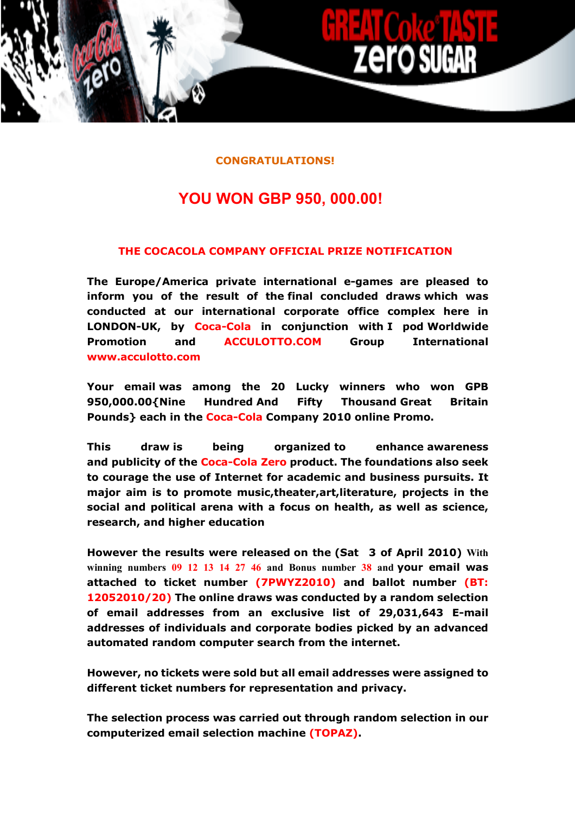#### **CONGRATULATIONS!**

# **YOU WON GBP 950, 000.00!**

## **THE COCACOLA COMPANY OFFICIAL PRIZE NOTIFICATION**

**The Europe/America private international e-games are pleased to inform you of the result of the final concluded draws which was conducted at our international corporate office complex here in LONDON-UK, by Coca-Cola in conjunction with I pod Worldwide Promotion and [ACCULOTTO.COM](http://acculotto.com/) Group International [www.acculotto.com](http://www.acculotto.com/)**

**Your email was among the 20 Lucky winners who won GPB 950,000.00{Nine Hundred And Fifty Thousand Great Britain Pounds} each in the Coca-Cola Company 2010 online Promo.**

**This draw is being organized to enhance awareness and publicity of the Coca-Cola Zero product. The foundations also seek to courage the use of Internet for academic and business pursuits. It major aim is to promote music,theater,art,literature, projects in the social and political arena with a focus on health, as well as science, research, and higher education**

**However the results were released on the (Sat 3 of April 2010) With winning numbers 09 12 13 14 27 46 and Bonus number 38 and your email was attached to ticket number (7PWYZ2010) and ballot number (BT: 12052010/20) The online draws was conducted by a random selection of email addresses from an exclusive list of 29,031,643 E-mail addresses of individuals and corporate bodies picked by an advanced automated random computer search from the internet.**

**However, no tickets were sold but all email addresses were assigned to different ticket numbers for representation and privacy.** 

**The selection process was carried out through random selection in our computerized email selection machine (TOPAZ).**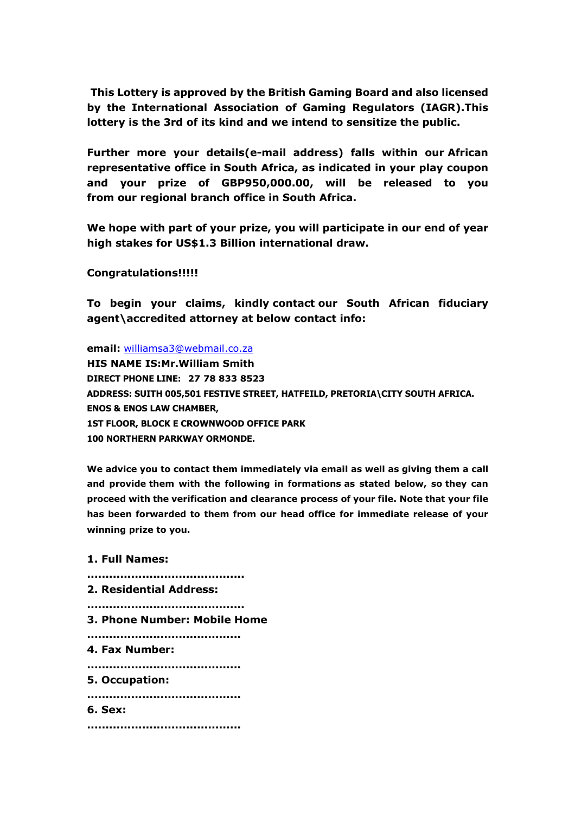**This Lottery is approved by the British Gaming Board and also licensed by the International Association of Gaming Regulators (IAGR).This lottery is the 3rd of its kind and we intend to sensitize the public.** 

**Further more your details(e-mail address) falls within our African representative office in South Africa, as indicated in your play coupon and your prize of GBP950,000.00, will be released to you from our regional branch office in South Africa.**

**We hope with part of your prize, you will participate in our end of year high stakes for US\$1.3 Billion international draw.**

**Congratulations!!!!!** 

**To begin your claims, kindly contact our South African fiduciary agent\accredited attorney at below contact info:** 

**email:** [williamsa3@webmail.co.za](mailto:williamsa3@webmail.co.za) **HIS NAME IS:Mr.William Smith DIRECT PHONE LINE: 27 78 833 8523 ADDRESS: SUITH 005,501 FESTIVE STREET, HATFEILD, PRETORIA\CITY SOUTH AFRICA. ENOS & ENOS LAW CHAMBER, 1ST FLOOR, BLOCK E CROWNWOOD OFFICE PARK 100 NORTHERN PARKWAY ORMONDE.**

**We advice you to contact them immediately via email as well as giving them a call and provide them with the following in formations as stated below, so they can proceed with the verification and clearance process of your file. Note that your file has been forwarded to them from our head office for immediate release of your winning prize to you.**

#### **1. Full Names:**

**........................................... 2. Residential Address: ........................................... 3. Phone Number: Mobile Home .......................................... 4. Fax Number: .......................................... 5. Occupation: .......................................... 6. Sex: ..........................................**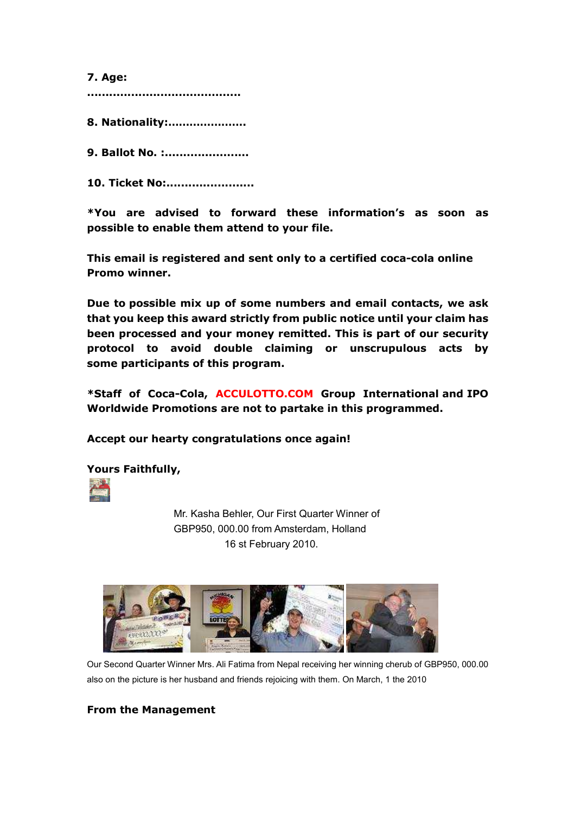**7. Age:** 

**..........................................**

**8. Nationality:………………….**

**9. Ballot No. :.......................**

**10. Ticket No:........................**

**\*You are advised to forward these information's as soon as possible to enable them attend to your file.** 

**This email is registered and sent only to a certified coca-cola online Promo winner.** 

**Due to possible mix up of some numbers and email contacts, we ask that you keep this award strictly from public notice until your claim has been processed and your money remitted. This is part of our security protocol to avoid double claiming or unscrupulous acts by some participants of this program.**

**\*Staff of Coca-Cola, [ACCULOTTO.COM](http://acculotto.com/) Group International and IPO Worldwide Promotions are not to partake in this programmed.** 

**Accept our hearty congratulations once again!** 

**Yours Faithfully,**



 Mr. Kasha Behler, Our First Quarter Winner of GBP950, 000.00 from Amsterdam, Holland 16 st February 2010.



Our Second Quarter Winner Mrs. Ali Fatima from Nepal receiving her winning cherub of GBP950, 000.00 also on the picture is her husband and friends rejoicing with them. On March, 1 the 2010

# **From the Management**